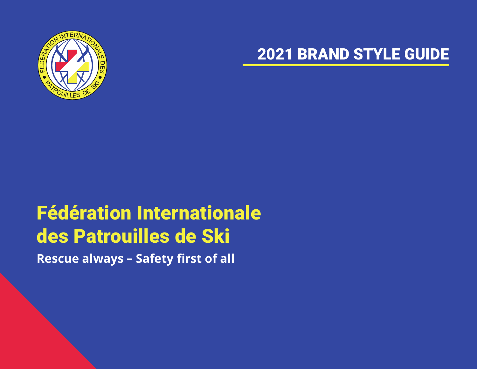

#### 2021 BRAND STYLE GUIDE

# Fédération Internationale des Patrouilles de Ski

**Rescue always – Safety first of all**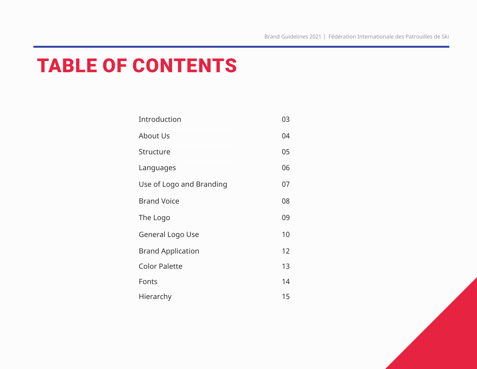#### TABLE OF CONTENTS

| Introduction             | 03 |
|--------------------------|----|
| <b>About Us</b>          | 04 |
| Structure                | 05 |
| Languages                | 06 |
| Use of Logo and Branding | 07 |
| <b>Brand Voice</b>       | 08 |
| The Logo                 | 09 |
| General Logo Use         | 10 |
| <b>Brand Application</b> | 12 |
| <b>Color Palette</b>     | 13 |
| Fonts                    | 14 |
| Hierarchy                | 15 |

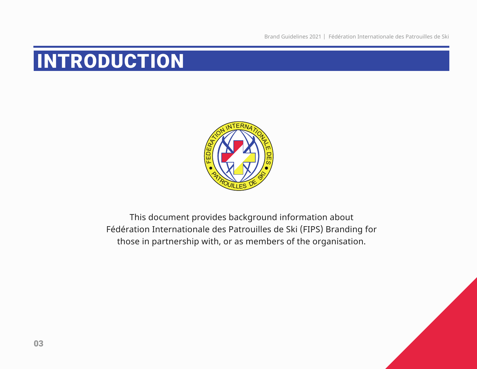Brand Guidelines 2021 | Fédération Internationale des Patrouilles de Ski

#### INTRODUCTION



This document provides background information about Fédération Internationale des Patrouilles de Ski (FIPS) Branding for those in partnership with, or as members of the organisation.

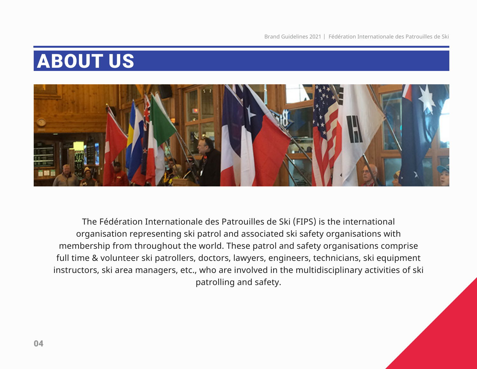#### ABOUT US



The Fédération Internationale des Patrouilles de Ski (FIPS) is the international organisation representing ski patrol and associated ski safety organisations with membership from throughout the world. These patrol and safety organisations comprise full time & volunteer ski patrollers, doctors, lawyers, engineers, technicians, ski equipment instructors, ski area managers, etc., who are involved in the multidisciplinary activities of ski patrolling and safety.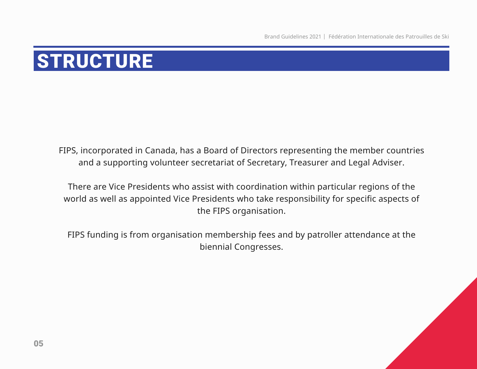### **STRUCTURE**

FIPS, incorporated in Canada, has a Board of Directors representing the member countries and a supporting volunteer secretariat of Secretary, Treasurer and Legal Adviser.

There are Vice Presidents who assist with coordination within particular regions of the world as well as appointed Vice Presidents who take responsibility for specific aspects of the FIPS organisation.

FIPS funding is from organisation membership fees and by patroller attendance at the biennial Congresses.

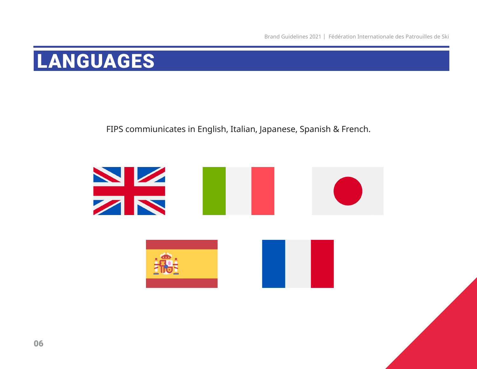#### LANGUAGES

#### FIPS commiunicates in English, Italian, Japanese, Spanish & French.

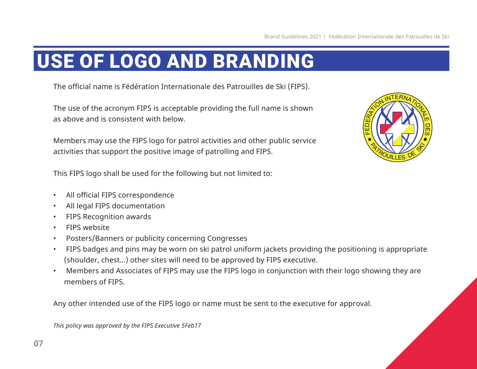#### USE OF LOGO AND BRANDING

The official name is Fédération Internationale des Patrouilles de Ski (FIPS).

The use of the acronym FIPS is acceptable providing the full name is shown as above and is consistent with below.

Members may use the FIPS logo for patrol activities and other public service activities that support the positive image of patrolling and FIPS.



This FIPS logo shall be used for the following but not limited to:

- All official FIPS correspondence
- All legal FIPS documentation
- FIPS Recognition awards
- FIPS website
- Posters/Banners or publicity concerning Congresses
- FIPS badges and pins may be worn on ski patrol uniform jackets providing the positioning is appropriate (shoulder, chest…) other sites will need to be approved by FIPS executive.
- Members and Associates of FIPS may use the FIPS logo in conjunction with their logo showing they are members of FIPS.

Any other intended use of the FIPS logo or name must be sent to the executive for approval.

*This policy was approved by the FIPS Executive 5Feb17*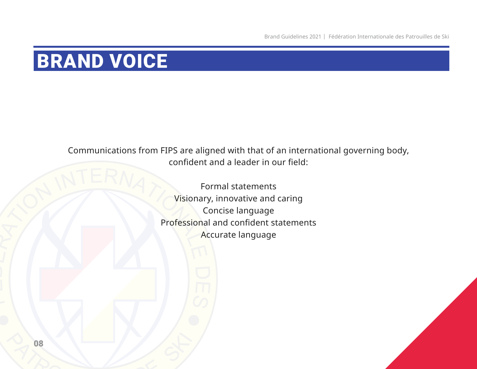#### BRAND VOICE

Communications from FIPS are aligned with that of an international governing body, confident and a leader in our field:

ERATERNATION Formal statements Visionary, innovative and caring Concise language Professional and confident statements Accurate language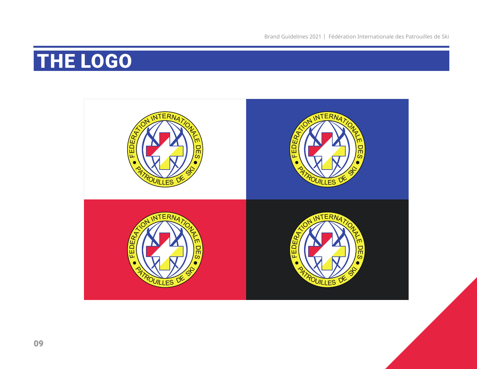### THE LOGO

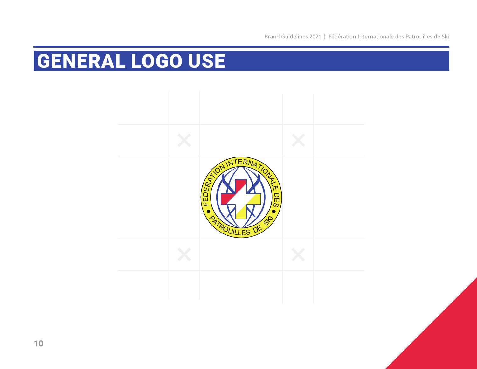### GENERAL LOGO USE



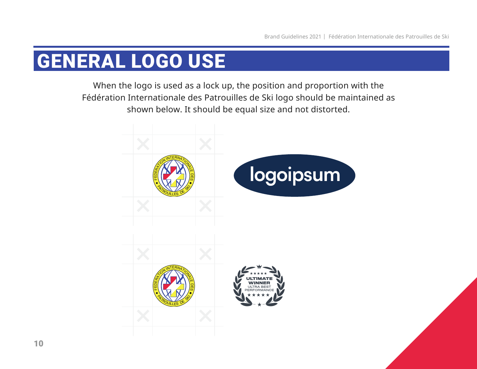#### GENERAL LOGO USE

When the logo is used as a lock up, the position and proportion with the Fédération Internationale des Patrouilles de Ski logo should be maintained as shown below. It should be equal size and not distorted.

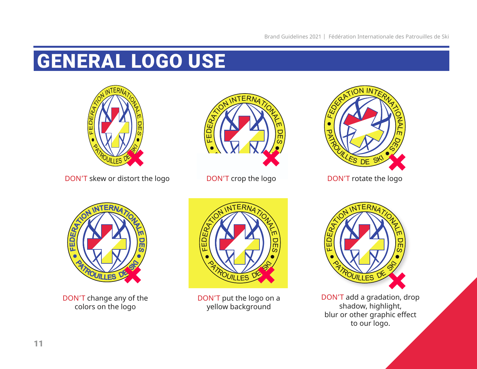## GENERAL LOGO USE



DON'T skew or distort the logo



DON'T crop the logo DON'T rotate the logo





DON'T change any of the colors on the logo



DON'T put the logo on a yellow background



DON'T add a gradation, drop shadow, highlight, blur or other graphic effect to our logo.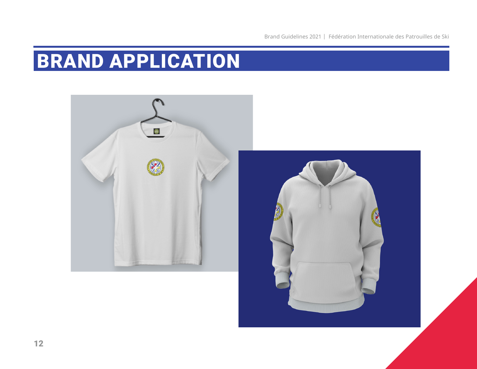## BRAND APPLICATION

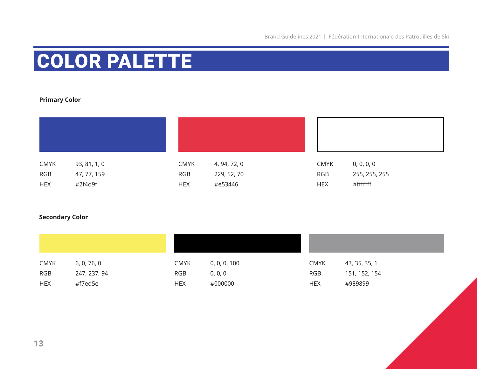# COLOR PALETTE

#### **Primary Color**

| <b>CMYK</b> | 93, 81, 1, 0 | <b>CMYK</b> | 4, 94, 72, 0 | <b>CMYK</b> | 0, 0, 0, 0    |
|-------------|--------------|-------------|--------------|-------------|---------------|
| <b>RGB</b>  | 47, 77, 159  | <b>RGB</b>  | 229, 52, 70  | <b>RGB</b>  | 255, 255, 255 |
| <b>HEX</b>  | #2f4d9f      | <b>HEX</b>  | #e53446      | <b>HEX</b>  | #fffffff      |

#### **Secondary Color**

| <b>CMYK</b> | 6, 0, 76, 0  | <b>CMYK</b> | 0, 0, 0, 100 | <b>CMYK</b> | 43, 35, 35, 1 |
|-------------|--------------|-------------|--------------|-------------|---------------|
| <b>RGB</b>  | 247, 237, 94 | <b>RGB</b>  | 0, 0, 0      | RGB         | 151, 152, 154 |
| <b>HEX</b>  | #f7ed5e      | <b>HEX</b>  | #000000      | <b>HEX</b>  | #989899       |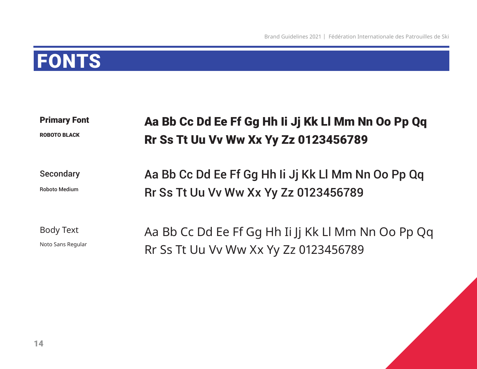#### FONTS

Primary Font

ROBOTO BLACK

#### Aa Bb Cc Dd Ee Ff Gg Hh Ii Jj Kk Ll Mm Nn Oo Pp Qq Rr Ss Tt Uu Vv Ww Xx Yy Zz 0123456789

**Secondary** 

Roboto Medium

Aa Bb Cc Dd Ee Ff Gg Hh Ii Jj Kk Ll Mm Nn Oo Pp Qq Rr Ss Tt Uu Vv Ww Xx Yy Zz 0123456789

Body Text

Noto Sans Regular

Aa Bb Cc Dd Ee Ff Gg Hh Ii Jj Kk Ll Mm Nn Oo Pp Qq Rr Ss Tt Uu Vv Ww Xx Yy Zz 0123456789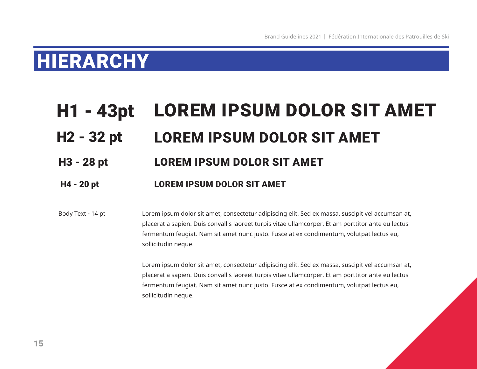#### HIERARCHY

#### H1 - 43pt LOREM IPSUM DOLOR SIT AMET H2 - 32 pt LOREM IPSUM DOLOR SIT AMET H3 - 28 pt LOREM IPSUM DOLOR SIT AMET

#### H4 - 20 pt LOREM IPSUM DOLOR SIT AMET

Lorem ipsum dolor sit amet, consectetur adipiscing elit. Sed ex massa, suscipit vel accumsan at, placerat a sapien. Duis convallis laoreet turpis vitae ullamcorper. Etiam porttitor ante eu lectus fermentum feugiat. Nam sit amet nunc justo. Fusce at ex condimentum, volutpat lectus eu, sollicitudin neque. Body Text - 14 pt

> Lorem ipsum dolor sit amet, consectetur adipiscing elit. Sed ex massa, suscipit vel accumsan at, placerat a sapien. Duis convallis laoreet turpis vitae ullamcorper. Etiam porttitor ante eu lectus fermentum feugiat. Nam sit amet nunc justo. Fusce at ex condimentum, volutpat lectus eu, sollicitudin neque.